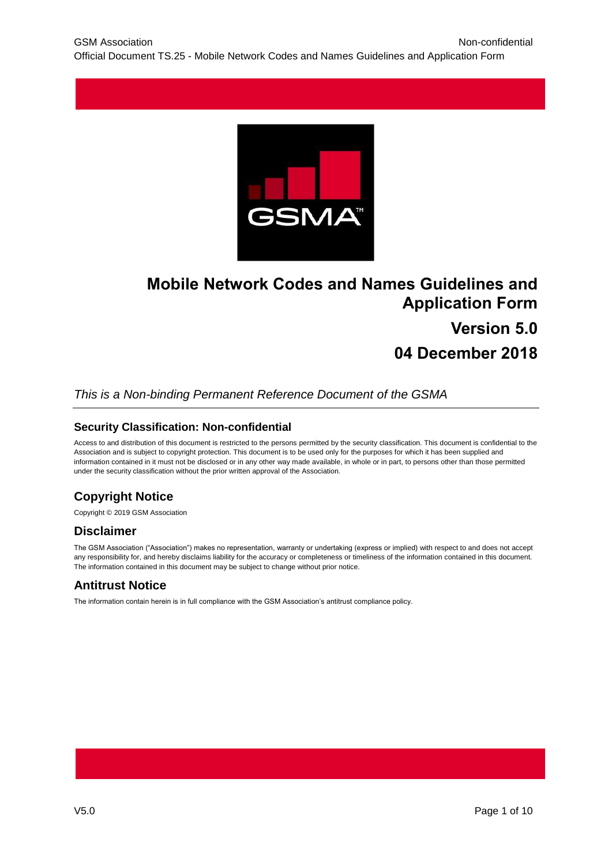

# **Mobile Network Codes and Names Guidelines and Application Form Version 5.0**

# **04 December 2018**

### *This is a Non-binding Permanent Reference Document of the GSMA*

### **Security Classification: Non-confidential**

Access to and distribution of this document is restricted to the persons permitted by the security classification. This document is confidential to the Association and is subject to copyright protection. This document is to be used only for the purposes for which it has been supplied and information contained in it must not be disclosed or in any other way made available, in whole or in part, to persons other than those permitted under the security classification without the prior written approval of the Association.

## **Copyright Notice**

Copyright © 2019 GSM Association

### **Disclaimer**

The GSM Association ("Association") makes no representation, warranty or undertaking (express or implied) with respect to and does not accept any responsibility for, and hereby disclaims liability for the accuracy or completeness or timeliness of the information contained in this document. The information contained in this document may be subject to change without prior notice.

### **Antitrust Notice**

The information contain herein is in full compliance with the GSM Association's antitrust compliance policy.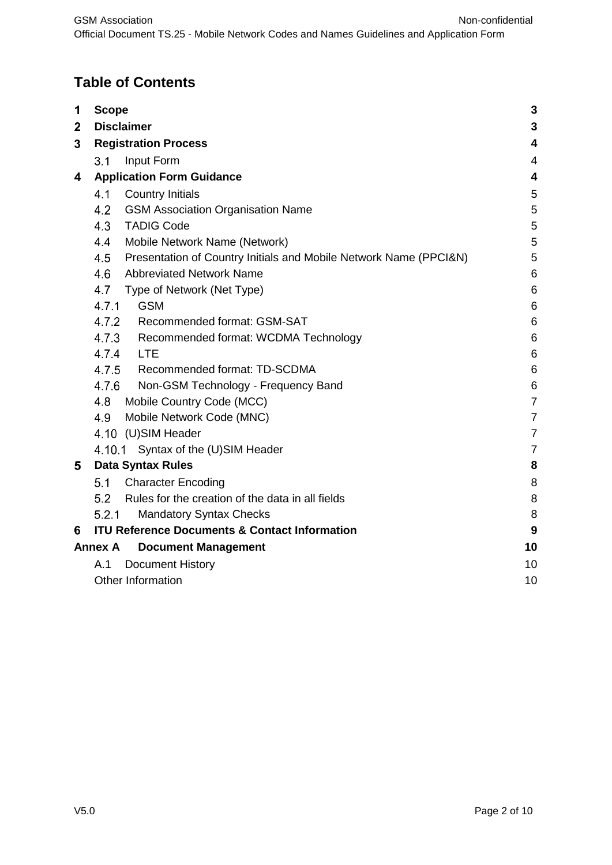# **Table of Contents**

| 1            | <b>Scope</b>                                                             | 3               |  |  |  |  |  |
|--------------|--------------------------------------------------------------------------|-----------------|--|--|--|--|--|
| $\mathbf{2}$ | <b>Disclaimer</b>                                                        | 3               |  |  |  |  |  |
| 3            | <b>Registration Process</b>                                              |                 |  |  |  |  |  |
|              | 3.1<br>Input Form                                                        | 4               |  |  |  |  |  |
| 4            | <b>Application Form Guidance</b>                                         | 4               |  |  |  |  |  |
|              | 4.1<br><b>Country Initials</b>                                           | 5               |  |  |  |  |  |
|              | 4.2<br><b>GSM Association Organisation Name</b>                          | 5               |  |  |  |  |  |
|              | <b>TADIG Code</b><br>4.3                                                 | 5               |  |  |  |  |  |
|              | Mobile Network Name (Network)<br>4.4                                     | 5               |  |  |  |  |  |
|              | 4.5<br>Presentation of Country Initials and Mobile Network Name (PPCI&N) | 5               |  |  |  |  |  |
|              | 4.6<br><b>Abbreviated Network Name</b>                                   | 6               |  |  |  |  |  |
|              | 4.7<br>Type of Network (Net Type)                                        | 6               |  |  |  |  |  |
|              | <b>GSM</b><br>4.7.1                                                      | 6               |  |  |  |  |  |
|              | 4.7.2<br>Recommended format: GSM-SAT                                     | 6               |  |  |  |  |  |
|              | 4.7.3<br>Recommended format: WCDMA Technology                            | $6\phantom{1}6$ |  |  |  |  |  |
|              | 4.7.4<br><b>LTE</b>                                                      | 6               |  |  |  |  |  |
|              | 4.7.5<br>Recommended format: TD-SCDMA                                    | 6               |  |  |  |  |  |
|              | 4.7.6<br>Non-GSM Technology - Frequency Band                             | 6               |  |  |  |  |  |
|              | 4.8<br>Mobile Country Code (MCC)                                         | $\overline{7}$  |  |  |  |  |  |
|              | Mobile Network Code (MNC)<br>4.9                                         | $\overline{7}$  |  |  |  |  |  |
|              | 4.10 (U)SIM Header                                                       | $\overline{7}$  |  |  |  |  |  |
|              | 4.10.1 Syntax of the (U)SIM Header                                       | $\overline{7}$  |  |  |  |  |  |
| 5            | <b>Data Syntax Rules</b>                                                 | 8               |  |  |  |  |  |
|              | 5.1<br><b>Character Encoding</b>                                         | 8               |  |  |  |  |  |
|              | Rules for the creation of the data in all fields<br>5.2                  | 8               |  |  |  |  |  |
|              | 5.2.1<br><b>Mandatory Syntax Checks</b>                                  | 8               |  |  |  |  |  |
| 6            | <b>ITU Reference Documents &amp; Contact Information</b>                 | 9               |  |  |  |  |  |
|              | <b>Annex A</b><br><b>Document Management</b>                             | 10              |  |  |  |  |  |
|              | A.1<br><b>Document History</b>                                           | 10              |  |  |  |  |  |
|              | Other Information                                                        | 10              |  |  |  |  |  |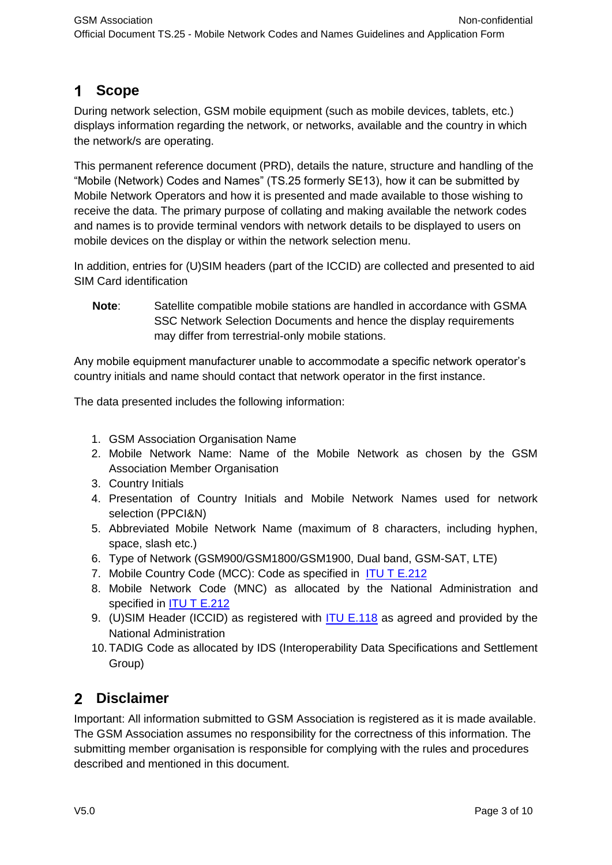# <span id="page-2-0"></span>**Scope**

During network selection, GSM mobile equipment (such as mobile devices, tablets, etc.) displays information regarding the network, or networks, available and the country in which the network/s are operating.

This permanent reference document (PRD), details the nature, structure and handling of the "Mobile (Network) Codes and Names" (TS.25 formerly SE13), how it can be submitted by Mobile Network Operators and how it is presented and made available to those wishing to receive the data. The primary purpose of collating and making available the network codes and names is to provide terminal vendors with network details to be displayed to users on mobile devices on the display or within the network selection menu.

In addition, entries for (U)SIM headers (part of the ICCID) are collected and presented to aid SIM Card identification

**Note**: Satellite compatible mobile stations are handled in accordance with GSMA SSC Network Selection Documents and hence the display requirements may differ from terrestrial-only mobile stations.

Any mobile equipment manufacturer unable to accommodate a specific network operator's country initials and name should contact that network operator in the first instance.

The data presented includes the following information:

- 1. GSM Association Organisation Name
- 2. Mobile Network Name: Name of the Mobile Network as chosen by the GSM Association Member Organisation
- 3. Country Initials
- 4. Presentation of Country Initials and Mobile Network Names used for network selection (PPCI&N)
- 5. Abbreviated Mobile Network Name (maximum of 8 characters, including hyphen, space, slash etc.)
- 6. Type of Network (GSM900/GSM1800/GSM1900, Dual band, GSM-SAT, LTE)
- 7. Mobile Country Code (MCC): Code as specified in [ITU T E.212](https://infocentre2.gsma.com/gp/wg/TS/OfficialDocuments/TS.25%20Mobile%20Network%20Codes%20and%20Names%20Guidelines%20and%20Application%20Form%20v5.0%20(Current)/TS.25%20v5.0.docx#_Reference_Documents)
- 8. Mobile Network Code (MNC) as allocated by the National Administration and specified in **ITU T E.212**
- 9. (U)SIM Header (ICCID) as registered with **ITU E.118** as agreed and provided by the National Administration
- 10.TADIG Code as allocated by IDS (Interoperability Data Specifications and Settlement Group)

# <span id="page-2-1"></span>**Disclaimer**

Important: All information submitted to GSM Association is registered as it is made available. The GSM Association assumes no responsibility for the correctness of this information. The submitting member organisation is responsible for complying with the rules and procedures described and mentioned in this document.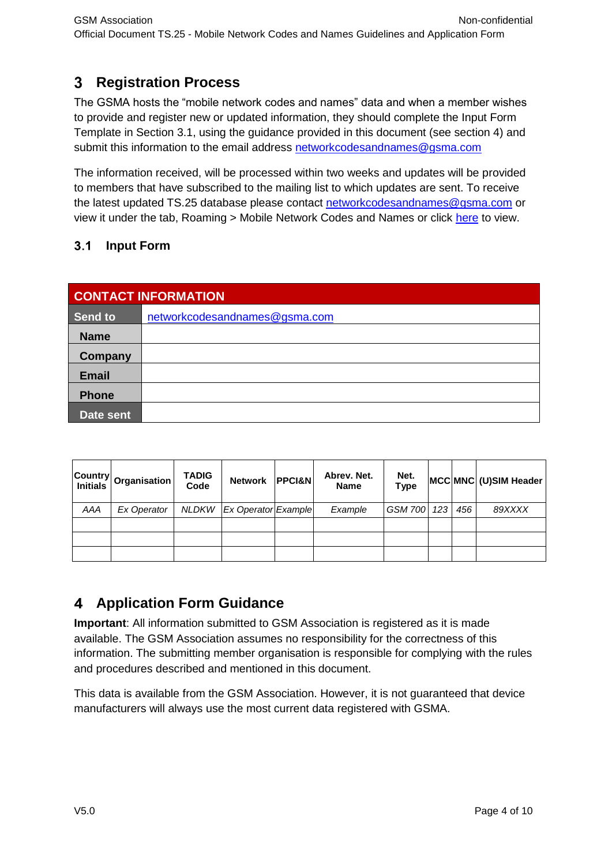#### <span id="page-3-0"></span> $3<sup>1</sup>$ **Registration Process**

The GSMA hosts the "mobile network codes and names" data and when a member wishes to provide and register new or updated information, they should complete the Input Form Template in Section 3.1, using the guidance provided in this document (see section 4) and submit this information to the email address [networkcodesandnames@gsma.com](mailto:networkcodesandnames@gsma.com)

The information received, will be processed within two weeks and updates will be provided to members that have subscribed to the mailing list to which updates are sent. To receive the latest updated TS.25 database please contact [networkcodesandnames@gsma.com](mailto:networkcodesandnames@gsma.com) or view it under the tab, Roaming > Mobile Network Codes and Names or click [here](https://infocentre2.gsma.com/roaming/SE13/Pages/default.aspx) to view.

#### <span id="page-3-1"></span> $3.1$ **Input Form**

| <b>CONTACT INFORMATION</b> |                               |  |  |  |  |  |  |  |
|----------------------------|-------------------------------|--|--|--|--|--|--|--|
| Send to                    | networkcodesandnames@gsma.com |  |  |  |  |  |  |  |
| <b>Name</b>                |                               |  |  |  |  |  |  |  |
| <b>Company</b>             |                               |  |  |  |  |  |  |  |
| <b>Email</b>               |                               |  |  |  |  |  |  |  |
| <b>Phone</b>               |                               |  |  |  |  |  |  |  |
| Date sent                  |                               |  |  |  |  |  |  |  |

|     | Country Organisation | <b>TADIG</b><br>Code | <b>Network</b>              | <b>PPCI&amp;N</b> | Abrev. Net.<br><b>Name</b> | Net.<br><b>Type</b> |     |     | MCC MNC (U) SIM Header |
|-----|----------------------|----------------------|-----------------------------|-------------------|----------------------------|---------------------|-----|-----|------------------------|
| AAA | Ex Operator          |                      | NLDKW   Ex Operator Example |                   | Example                    | <b>GSM 700</b>      | 123 | 456 | 89XXXX                 |
|     |                      |                      |                             |                   |                            |                     |     |     |                        |
|     |                      |                      |                             |                   |                            |                     |     |     |                        |
|     |                      |                      |                             |                   |                            |                     |     |     |                        |

#### <span id="page-3-2"></span> $\overline{\mathbf{4}}$ **Application Form Guidance**

**Important**: All information submitted to GSM Association is registered as it is made available. The GSM Association assumes no responsibility for the correctness of this information. The submitting member organisation is responsible for complying with the rules and procedures described and mentioned in this document.

This data is available from the GSM Association. However, it is not guaranteed that device manufacturers will always use the most current data registered with GSMA.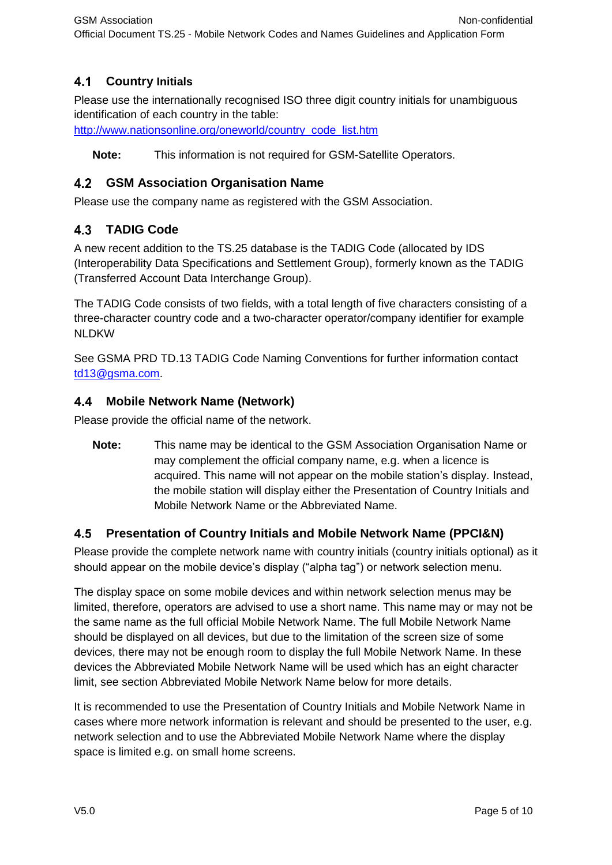#### <span id="page-4-0"></span> $4.1$ **Country Initials**

Please use the internationally recognised ISO three digit country initials for unambiguous identification of each country in the table:

[http://www.nationsonline.org/oneworld/country\\_code\\_list.htm](http://www.nationsonline.org/oneworld/country_code_list.htm)

**Note:** This information is not required for GSM-Satellite Operators.

### <span id="page-4-1"></span>**GSM Association Organisation Name**

Please use the company name as registered with the GSM Association.

### <span id="page-4-2"></span>**TADIG Code**

A new recent addition to the TS.25 database is the TADIG Code (allocated by IDS (Interoperability Data Specifications and Settlement Group), formerly known as the TADIG (Transferred Account Data Interchange Group).

The TADIG Code consists of two fields, with a total length of five characters consisting of a three-character country code and a two-character operator/company identifier for example NLDKW

See GSMA PRD TD.13 TADIG Code Naming Conventions for further information contact [td13@gsma.com.](mailto:td13@gsma.com)

#### <span id="page-4-3"></span>4.4 **Mobile Network Name (Network)**

Please provide the official name of the network.

**Note:** This name may be identical to the GSM Association Organisation Name or may complement the official company name, e.g. when a licence is acquired. This name will not appear on the mobile station's display. Instead, the mobile station will display either the Presentation of Country Initials and Mobile Network Name or the Abbreviated Name.

### <span id="page-4-4"></span>**Presentation of Country Initials and Mobile Network Name (PPCI&N)**

Please provide the complete network name with country initials (country initials optional) as it should appear on the mobile device's display ("alpha tag") or network selection menu.

The display space on some mobile devices and within network selection menus may be limited, therefore, operators are advised to use a short name. This name may or may not be the same name as the full official Mobile Network Name. The full Mobile Network Name should be displayed on all devices, but due to the limitation of the screen size of some devices, there may not be enough room to display the full Mobile Network Name. In these devices the Abbreviated Mobile Network Name will be used which has an eight character limit, see section Abbreviated Mobile Network Name below for more details.

It is recommended to use the Presentation of Country Initials and Mobile Network Name in cases where more network information is relevant and should be presented to the user, e.g. network selection and to use the Abbreviated Mobile Network Name where the display space is limited e.g. on small home screens.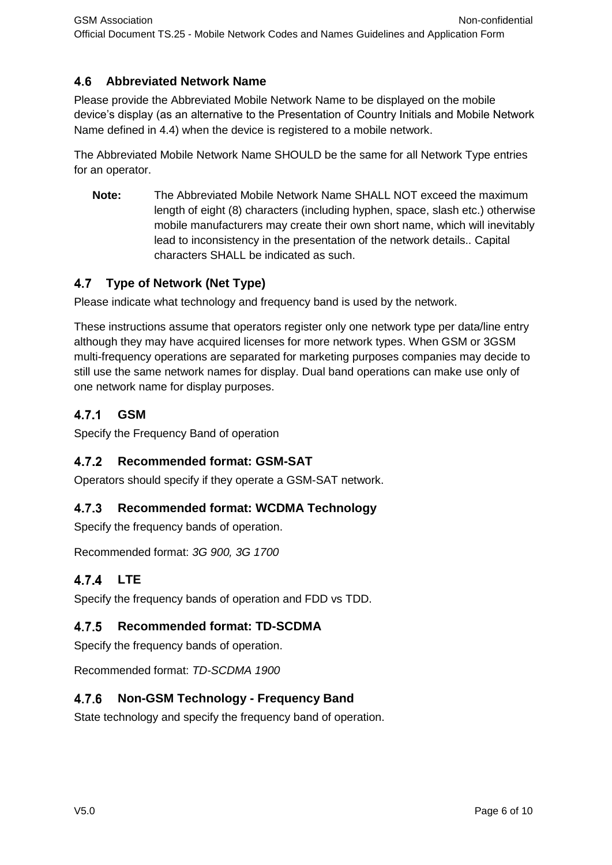#### <span id="page-5-0"></span> $4.6$ **Abbreviated Network Name**

Please provide the Abbreviated Mobile Network Name to be displayed on the mobile device's display (as an alternative to the Presentation of Country Initials and Mobile Network Name defined in 4.4) when the device is registered to a mobile network.

The Abbreviated Mobile Network Name SHOULD be the same for all Network Type entries for an operator.

**Note:** The Abbreviated Mobile Network Name SHALL NOT exceed the maximum length of eight (8) characters (including hyphen, space, slash etc.) otherwise mobile manufacturers may create their own short name, which will inevitably lead to inconsistency in the presentation of the network details.. Capital characters SHALL be indicated as such.

#### <span id="page-5-1"></span> $4.7$ **Type of Network (Net Type)**

Please indicate what technology and frequency band is used by the network.

These instructions assume that operators register only one network type per data/line entry although they may have acquired licenses for more network types. When GSM or 3GSM multi-frequency operations are separated for marketing purposes companies may decide to still use the same network names for display. Dual band operations can make use only of one network name for display purposes.

#### <span id="page-5-2"></span> $4.7.1$ **GSM**

Specify the Frequency Band of operation

#### <span id="page-5-3"></span> $4.7.2$ **Recommended format: GSM-SAT**

Operators should specify if they operate a GSM-SAT network.

#### <span id="page-5-4"></span> $4.7.3$ **Recommended format: WCDMA Technology**

Specify the frequency bands of operation.

Recommended format: *3G 900, 3G 1700*

### <span id="page-5-5"></span>4.7.4 LTE

Specify the frequency bands of operation and FDD vs TDD.

#### <span id="page-5-6"></span> $4.7.5$ **Recommended format: TD-SCDMA**

Specify the frequency bands of operation.

Recommended format: *TD-SCDMA 1900*

#### <span id="page-5-7"></span> $4.7.6$ **Non-GSM Technology - Frequency Band**

State technology and specify the frequency band of operation.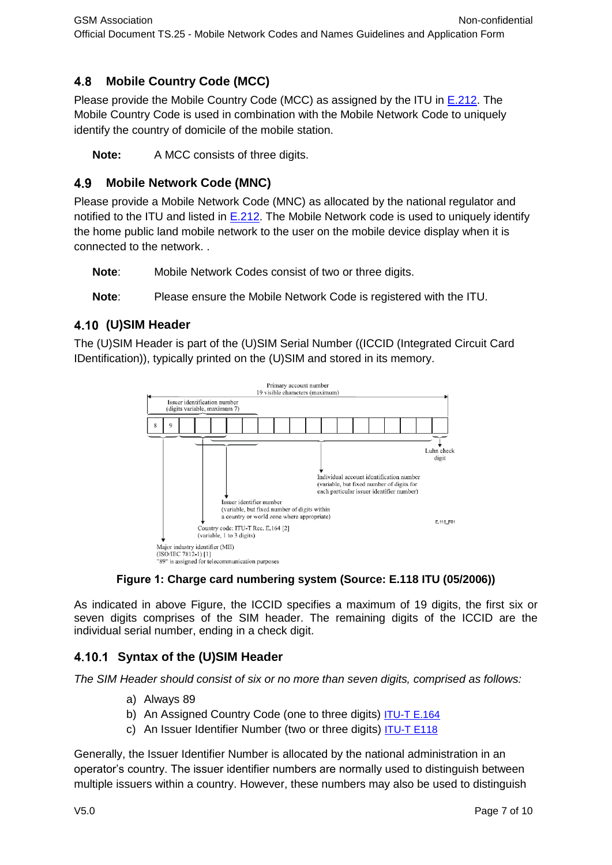#### <span id="page-6-0"></span>4.8 **Mobile Country Code (MCC)**

Please provide the Mobile Country Code (MCC) as assigned by the ITU in [E.212.](https://infocentre2.gsma.com/gp/wg/TS/OfficialDocuments/TS.25%20Mobile%20Network%20Codes%20and%20Names%20Guidelines%20and%20Application%20Form%20v5.0%20(Current)/TS.25%20v5.0.docx#_Toc356919414) The Mobile Country Code is used in combination with the Mobile Network Code to uniquely identify the country of domicile of the mobile station.

**Note:** A MCC consists of three digits.

#### <span id="page-6-1"></span>4.9 **Mobile Network Code (MNC)**

Please provide a Mobile Network Code (MNC) as allocated by the national regulator and notified to the ITU and listed in  $E.212$ . The Mobile Network code is used to uniquely identify the home public land mobile network to the user on the mobile device display when it is connected to the network. .

**Note**: Mobile Network Codes consist of two or three digits.

**Note**: Please ensure the Mobile Network Code is registered with the ITU.

### <span id="page-6-2"></span>**(U)SIM Header**

The (U)SIM Header is part of the (U)SIM Serial Number ((ICCID (Integrated Circuit Card IDentification)), typically printed on the (U)SIM and stored in its memory.



### **Figure 1: Charge card numbering system (Source: E.118 ITU (05/2006))**

As indicated in above Figure, the ICCID specifies a maximum of 19 digits, the first six or seven digits comprises of the SIM header. The remaining digits of the ICCID are the individual serial number, ending in a check digit.

### <span id="page-6-3"></span>**Syntax of the (U)SIM Header**

*The SIM Header should consist of six or no more than seven digits, comprised as follows:*

- a) Always 89
- b) An Assigned Country Code (one to three digits) [ITU-T E.164](https://infocentre2.gsma.com/gp/wg/TS/OfficialDocuments/TS.25%20Mobile%20Network%20Codes%20and%20Names%20Guidelines%20and%20Application%20Form%20v5.0%20(Current)/TS.25%20v5.0.docx#_Toc356919414)
- c) An Issuer Identifier Number (two or three digits) [ITU-T E118](https://infocentre2.gsma.com/gp/wg/TS/OfficialDocuments/TS.25%20Mobile%20Network%20Codes%20and%20Names%20Guidelines%20and%20Application%20Form%20v5.0%20(Current)/TS.25%20v5.0.docx#_Toc356919414)

Generally, the Issuer Identifier Number is allocated by the national administration in an operator's country. The issuer identifier numbers are normally used to distinguish between multiple issuers within a country. However, these numbers may also be used to distinguish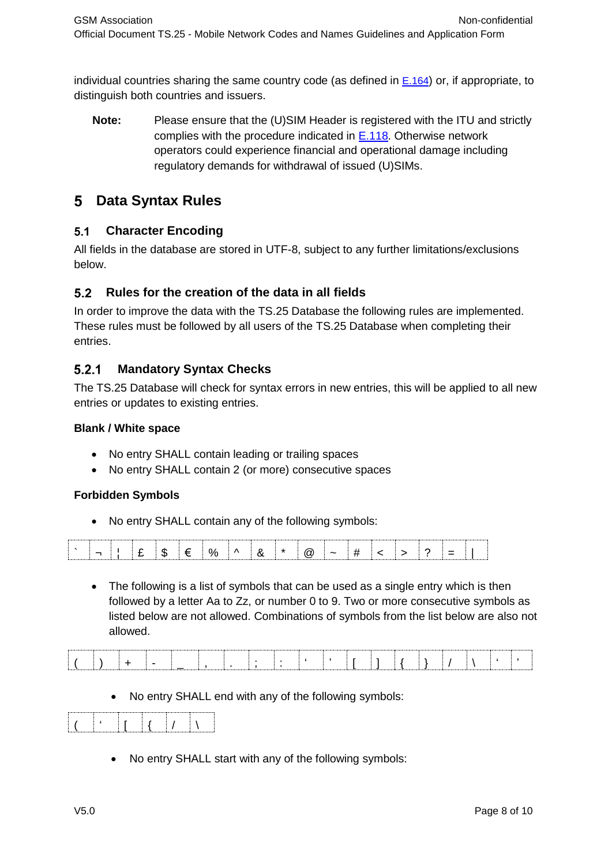individual countries sharing the same country code (as defined in  $E.164$ ) or, if appropriate, to distinguish both countries and issuers.

**Note:** Please ensure that the (U)SIM Header is registered with the ITU and strictly complies with the procedure indicated in [E.118.](http://www.itu.int/pub/T-SP-E.118-2012) Otherwise network operators could experience financial and operational damage including regulatory demands for withdrawal of issued (U)SIMs.

# <span id="page-7-0"></span>**Data Syntax Rules**

#### <span id="page-7-1"></span> $5.1$ **Character Encoding**

All fields in the database are stored in UTF-8, subject to any further limitations/exclusions below.

### <span id="page-7-2"></span>**Rules for the creation of the data in all fields**

In order to improve the data with the TS.25 Database the following rules are implemented. These rules must be followed by all users of the TS.25 Database when completing their entries.

#### <span id="page-7-3"></span> $5.2.1$ **Mandatory Syntax Checks**

The TS.25 Database will check for syntax errors in new entries, this will be applied to all new entries or updates to existing entries.

### **Blank / White space**

- No entry SHALL contain leading or trailing spaces
- No entry SHALL contain 2 (or more) consecutive spaces

### **Forbidden Symbols**

No entry SHALL contain any of the following symbols:



• The following is a list of symbols that can be used as a single entry which is then followed by a letter Aa to Zz, or number 0 to 9. Two or more consecutive symbols as listed below are not allowed. Combinations of symbols from the list below are also not allowed.

No entry SHALL end with any of the following symbols:

|--|

No entry SHALL start with any of the following symbols: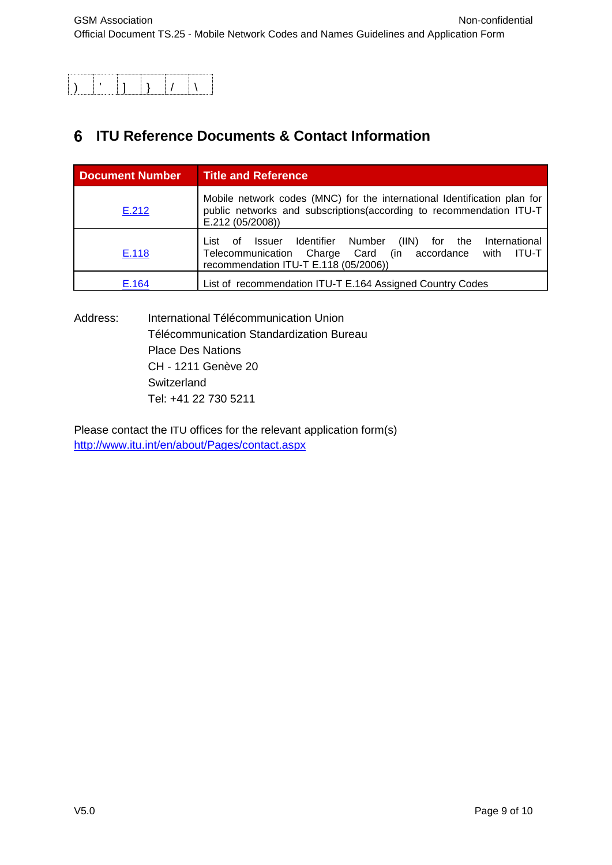# <span id="page-8-0"></span>**ITU Reference Documents & Contact Information**

| <b>Document Number</b> | <b>Title and Reference</b>                                                                                                                                                                                  |
|------------------------|-------------------------------------------------------------------------------------------------------------------------------------------------------------------------------------------------------------|
| E.212                  | Mobile network codes (MNC) for the international Identification plan for<br>public networks and subscriptions (according to recommendation ITU-T<br>E.212 (05/2008))                                        |
| E.118                  | Identifier Number<br>(III)<br>International<br>List<br>for<br>the<br>Issuer<br>οf<br>Telecommunication<br>(in<br><b>ITU-T</b><br>Charge Card<br>accordance<br>with<br>recommendation ITU-T E.118 (05/2006)) |
| E.164                  | List of recommendation ITU-T E.164 Assigned Country Codes                                                                                                                                                   |

Address: International Télécommunication Union Télécommunication Standardization Bureau Place Des Nations CH - 1211 Genève 20 **Switzerland** Tel: +41 22 730 5211

Please contact the ITU offices for the relevant application form(s) <http://www.itu.int/en/about/Pages/contact.aspx>